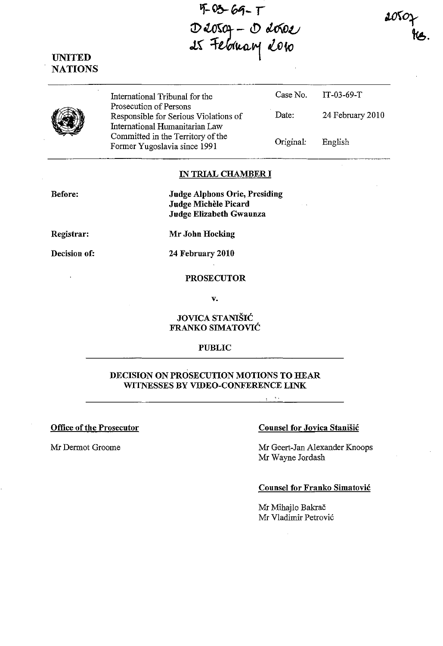40369-T<br>Deosof - Deosoe<br>Is February 2010

UNITED **NATIONS** 

|  | International Tribunal for the<br>Prosecution of Persons<br>Responsible for Serious Violations of   | Case No.<br>Date: | TT-03-69-T<br>24 February 2010 |
|--|-----------------------------------------------------------------------------------------------------|-------------------|--------------------------------|
|  | International Humanitarian Law<br>Committed in the Territory of the<br>Former Yugoslavia since 1991 | Original:         | English                        |

#### IN TRIAL CHAMBER **I**

Before:

Judge Alphons Orie, Presiding Judge Michele Picard Judge Elizabeth Gwaunza

Registrar:

Mr John Hocking

Decision of:

24 February 2010

#### **PROSECUTOR**

v.

### JOVlCA STANISIC FRANKO SIMATOVIĆ

#### PUBLIC

### DECISION ON PROSECUTION MOTIONS TO HEAR WITNESSES BY VIDEO-CONFERENCE LINK

## Office of the Prosecutor Counsel for Jovica Stanisic

Mr Dermot Groome Mr Geert-Jan Alexander Knoops Mr Wayne Jordash

#### Counsel for Franko Simatovic

Mr Mihajlo Bakrač Mr Vladimir Petrovi6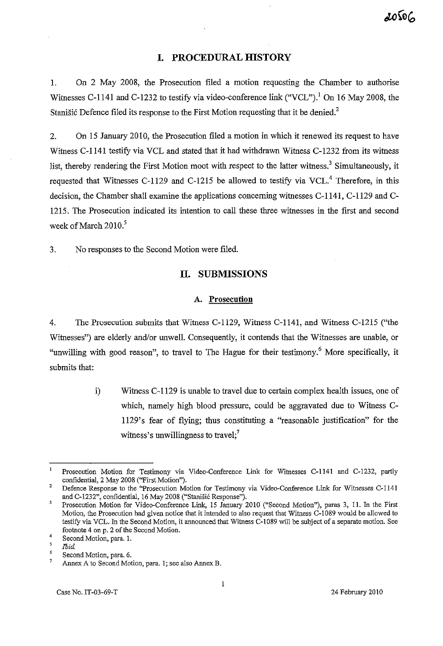## **I. PROCEDURAL mSTORY**

1. On 2 May 2008, the Prosecution filed a motion requesting the Chamber to authorise Witnesses C-1141 and C-1232 to testify via video-conference link ("VCL").<sup>1</sup> On 16 May 2008, the Stanišić Defence filed its response to the First Motion requesting that it be denied.<sup>2</sup>

2. On 15 Jauuary 2010, the Prosecution filed a motion in which it renewed its request to have Witness C-1141 testify via VCL and stated that it had withdrawn Witness C-1232 from its witness list, thereby rendering the First Motion moot with respect to the latter witness.<sup>3</sup> Simultaneously, it requested that Witnesses C-1129 and C-1215 be allowed to testify via VCL.<sup>4</sup> Therefore, in this decision, the Chamber shall examine the applications concerning witnesses C-1l41, C-1l29 aud C-1215. The Prosecution indicated its intention to call these three witnesses in the first aud second week of March  $2010<sup>5</sup>$ 

3. No responses to the Second Motion were filed.

## **H. SUBMISSIONS**

#### **A. Prosecution**

4. The Prosecution submits that Witness C-1l29, Witness C-1l41, and Witness C-121S ("the Witnesses") are elderly and/or unwell. Consequently, it contends that the Witnesses are unable, or "unwilling with good reason", to travel to The Hague for their testimony.<sup>6</sup> More specifically, it submits that:

> i) Witness C-l129 is unable to travel due to certain complex health issues, one of which, namely high blood pressure, could be aggravated due to Witness C-1129's fear of flying; thus constituting a "reasonable justification" for the witness's unwillingness to travel; $<sup>7</sup>$ </sup>

Prosecution Motion for Testimony via Video-Conference Link for Witnesses C-1l41 and C-1232, partly confidential, 2 May 2008 ("First Motion").

<sup>2</sup>  **Defence Response to the "Prosecution Motion for Testimony via Video-Conference Link for Witnesses C-1141**  and C-1232", confidential, 16 May 2008 ("Stanišić Response").

 $\overline{3}$ Prosecution Motion for Video-Conference Link, 15 January 2010 ("Second Motion"), paras 3, 11. In the First **Motion, the Prosecution had given notice that it intended to also request that Witness C-I089 would be allowed to**  testify via VCL. In the Second Motion, it annonnced that Witness C-I089 will be subject of a separate motion. See footnote 4 on p. 2 of the Second Motion.

<sup>4</sup>  Second Motion, para. I.

 $\overline{5}$ *!bid* 

<sup>6</sup> Second Motion, para. 6.

 $\overline{7}$ **Annex A to Second Motion, para. 1; see also Annex B.**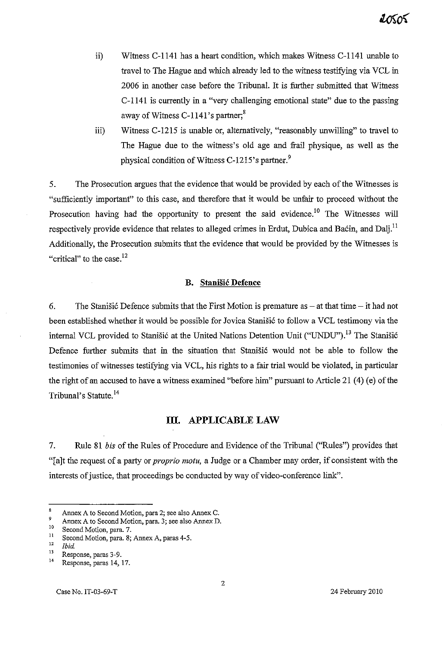- ii) Witness C-1l4l has a heart condition, which makes Witness C-1l4l unable to travel to The Hague and which already led to the witness testifying via VCL in 2006 in another case before the Tribunal. It is further submitted that Witness C-1l4l is currently in a "very challenging emotional state" due to the passing away of Witness C-1141's partner; $8$
- iii) Witness C-12l5 is unable or, alternatively, "reasonably unwilling" to travel to The Hague due to the witness's old age and frail physique, as well as the physical condition of Witness C-1215's partner.<sup>9</sup>

5. The Prosecution argues that the evidence that would be provided by each of the Witnesses is "sufficiently important" to this case, and therefore that it would be unfair to proceed without the Prosecution having had the opportunity to present the said evidence.<sup>10</sup> The Witnesses will respectively provide evidence that relates to alleged crimes in Erdut, Dubica and Baćin, and Dalj.<sup>11</sup> Additionally, the Prosecution submits that the evidence that would be provided by the Witnesses is "critical" to the case. $^{12}$ 

#### **B. Stanisic Defence**

6. The Stanisic Defence submits that the First Motion is premature as  $-$  at that time  $-$  it had not been established whether it would be possible for Jovica Stanišić to follow a VCL testimony via the internal VCL provided to Stanišić at the United Nations Detention Unit ("UNDU").<sup>13</sup> The Stanišić Defence further submits that in the situation that Stanišić would not be able to follow the testimonies of witnesses testifying via VCL, his rights to a fair trial would be violated, in particular the right of an accused to have a witness examined "before him" pursuant to Article 21 (4) (e) of the Tribunal's Statute.<sup>14</sup>

## **m. APPLICABLE LAW**

7. Rule 81 *bis* of the Rules of Procedure and Evidence of the Tribunal ("Rules") provides that "[a]t the request of a party or *proprio motu,* a Judge or a Chamber may order, if consistent with the interests of justice, that proceedings be conducted by way of video-conference link".

<sup>8</sup> **Annex A to Second Motion, para 2; see also Annex C.** 

<sup>&</sup>lt;sup>9</sup> Annex A to Second Motion, para. 3; see also Annex D.

**<sup>10</sup>Second Motion, para. 7.** 

**<sup>11</sup>Second Motion, para. 8; Annex A, paras 4-5.** 

 $\frac{12}{13}$  *Ibid.* 

**<sup>13</sup>Response, paras 3-9.** 

**<sup>14</sup>Response, paras 14, 17.**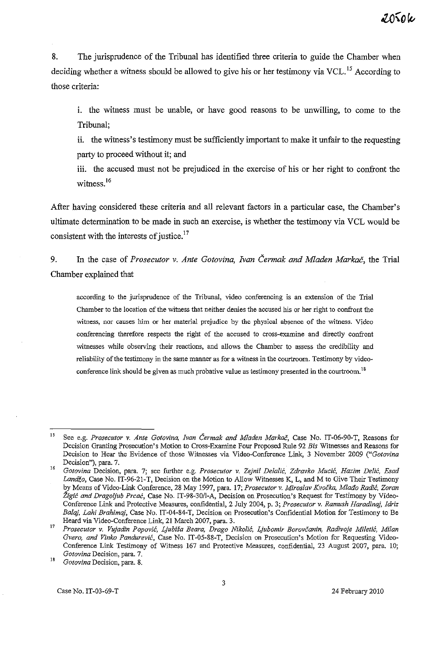8. The jurisprudence of the Tribunal has identified three criteria to guide the Chamber when deciding whether a witness should be allowed to give his or her testimony via VCL.<sup>15</sup> According to those criteria:

i. the witness must be unable, or have good reasons to be unwilling, to come to the Tribunal;

ii. the witness's testimony must be sufficiently important to make it unfair to the requesting party to proceed without it; and

iii. the accused must not be prejudiced in the exercise of his or her right to confront the witness<sup>16</sup>

After having considered these criteria and all relevant factors in a particular case, the Chamber's ultimate determination to be made in such an exercise, is whether the testimony via VCL would be consistent with the interests of justice.<sup>17</sup>

9. In the case of *Prosecutor* v. *Ante Gotovina, Ivan Cermak and Mladen Markac,* the Trial Chamber explained that

**according to the jurisprudence of the Tribunal, video conferencing is an extension of the Trial Chamber to the location of the witness that neither denies the accused his or her right to confront the witness, nor causes him or her material prejudice by the physical absence of the witness. Video conferencing therefore respects the right of the accused to cross-examine and directly confront witnesses while observing their reactions, and allows the Chamber to assess the credibility and reliability** of the **testimony in the same manner as for a witness in the courtroom. Testimony by video**conference link should be given as much probative value as testimony presented in the courtroom.<sup>18</sup>

<sup>15</sup>  **See e.g.** *Prosecutor* **v.** *Ante Gotovina, Ivan Cermak and Mladen Markac,* **Case No. IT-06-90-T, Reasons for Decision Granting Prosecution's Motion to Cross-Examine Four Proposed Rule 92** *Bis* **Witnesses and Reasons for Decision to Hear the Evidence of those Witnesses via Video-Conference Link, 3 November 2009** *("Gotovina*  **Decision"), para. 7.** 

<sup>16</sup>  *Gotovina* **Decision, para. 7; see further e.g.** *Prosecutor* **v.** *Zejnil Delalic, Zdravko Mucic, Hazim De!ic, Esad LandZo,* Case *No.* IT-96-2l-T, Decision *on* the Motion *to Allow* Witnesses K, L, and M *to* Give Their Testimony by Means of Video-Link Conference, 28 May 1997, para. 17; *Prosecutor v. Miroslav Kvocka, Mlatio Radic, Zoran Zigic and Dragoljub Prcac,* **Case No. IT-98-30/1-A, Decision on Prosecution's Request for Testimony by Video-Conference Link and Protective Measures, confidential, 2 July 2004, p. 3;** *Prosecutor* **v.** *Ramush Haradinaj, Idriz Balaj, Lahi Brahimaj,* **Case No. IT-04-84-T, Decision on Prosecution's Confidential Motion for Testimony to Be**  Heard via Video-Conference Link, 21 March 2007, para. 3.

<sup>17</sup>  *Prosecutor v. Vujadin Popovic, Ljubisa Beara, Drago Niko!ic, Ljubomir Borovcanin, Radivoje Miletic, Milan Gvero, and Vinko Pandurevic,* **Case No. IT-05-88-T, Decision on Prosecution's Motion for Requesting Video-**Conference Link Testimony of Witness 167 and Protective Measures, confidential, 23 August 2007, para. 10; *Gotovina* **Decision, para. 7.** 

<sup>18</sup>  *Gotovina* **Decision, para. 8.**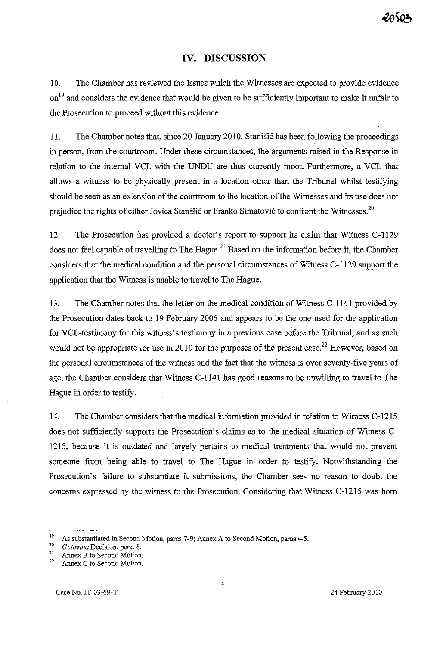# **IV. DISCUSSION**

10. The Chamber has reviewed the issues which the Witnesses are expected to provide evidence on<sup>19</sup> and considers the evidence that would be given to be sufficiently important to make it unfair to the Prosecution to proceed without this evidence.

11. The Chamber notes that, since 20 January 2010, Stanisi6 has been following the proceedings in person, from the courtroom. Under these circumstances, the arguments raised in the Response in relation to the internal VCL with the UNDU are thus currently moot. Furthermore, a VCL that allows a witness to be physically present in a location other than the Tribunal whilst testifying should be seen as an extension of the courtroom to the location of the Witnesses and its use does not prejudice the rights of either Jovica Stanišić or Franko Simatović to confront the Witnesses.<sup>20</sup>

12. The Prosecution has provided a doctor's report to support its claim that Witness C-1l29 does not feel capable of travelling to The Hague.<sup>21</sup> Based on the information before it, the Chamber considers that the medical condition and the personal circumstances of Witness C-1129 support the application that the Witness is unable to travel to The Hague.

13. The Chamber notes that the letter on the medical condition of Witness C-1l41 provided by the Prosecution dates back to 19 February 2006 and appears to be the one used for the application for VCL-testimony for this witness's testimony in a previous case before the Tribunal, and as such would not be appropriate for use in 2010 for the purposes of the present case.<sup>22</sup> However, based on the personal circumstances of the witness and the fact that the witness is over seventy-five years of age, the Chamber considers that Witness C-1l41 has good reasons to be unwilling to travel to The Hague in order to testify.

14. The Chamber considers that the medical information provided in relation to Witness C-I215 does not sufficiently supports the Prosecution's claims as to the medical situation of Witness C-1215, because it is outdated and largely pertains to medical treatments that would not prevent someone from being able to travel to The Hague in order to testify. Notwithstanding the Prosecution's failure to substantiate it submissions, the Chamber sees no reason to doubt the concerns expressed by the witness to the Prosecution. Considering that Witness C-1215 was born

<sup>&</sup>lt;sup>19</sup> As substantiated in Second Motion, paras 7-9; Annex A to Second Motion, paras 4-5.

*<sup>20</sup> Gotovina* **Decision, para. 8.** 

<sup>&</sup>lt;sup>21</sup> Annex B to Second Motion.

Annex C to Second Motion.